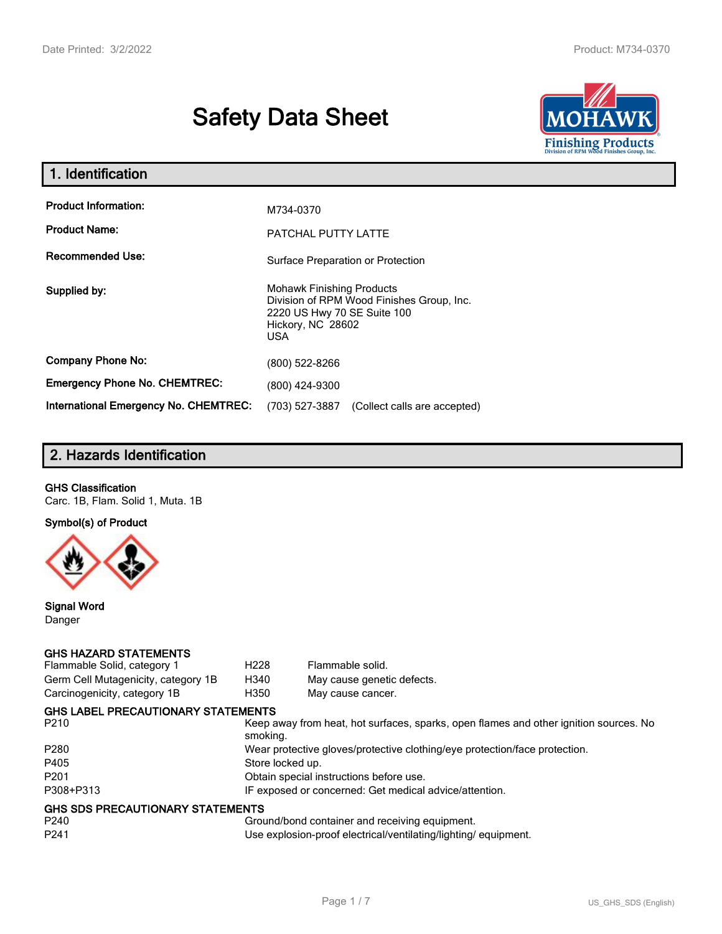# **Safety Data Sheet**



| 1. Identification                                   |                                                                                                                                                 |
|-----------------------------------------------------|-------------------------------------------------------------------------------------------------------------------------------------------------|
| <b>Product Information:</b><br><b>Product Name:</b> | M734-0370<br>PATCHAL PUTTY LATTE                                                                                                                |
| <b>Recommended Use:</b>                             | Surface Preparation or Protection                                                                                                               |
| Supplied by:                                        | <b>Mohawk Finishing Products</b><br>Division of RPM Wood Finishes Group, Inc.<br>2220 US Hwy 70 SE Suite 100<br>Hickory, NC 28602<br><b>USA</b> |
| <b>Company Phone No:</b>                            | (800) 522-8266                                                                                                                                  |
| <b>Emergency Phone No. CHEMTREC:</b>                | (800) 424-9300                                                                                                                                  |
| International Emergency No. CHEMTREC:               | (703) 527-3887<br>(Collect calls are accepted)                                                                                                  |

# **2. Hazards Identification**

#### **GHS Classification**

Carc. 1B, Flam. Solid 1, Muta. 1B

**Symbol(s) of Product**



**Signal Word** Danger

#### **GHS HAZARD STATEMENTS**

| Flammable Solid, category 1                                 | H <sub>228</sub> | Flammable solid.                                                                      |
|-------------------------------------------------------------|------------------|---------------------------------------------------------------------------------------|
| Germ Cell Mutagenicity, category 1B                         | H340             | May cause genetic defects.                                                            |
| Carcinogenicity, category 1B                                | H350             | May cause cancer.                                                                     |
| <b>GHS LABEL PRECAUTIONARY STATEMENTS</b>                   |                  |                                                                                       |
| P <sub>210</sub>                                            | smoking.         | Keep away from heat, hot surfaces, sparks, open flames and other ignition sources. No |
| P <sub>280</sub>                                            |                  | Wear protective gloves/protective clothing/eye protection/face protection.            |
| P405                                                        | Store locked up. |                                                                                       |
| P <sub>201</sub>                                            |                  | Obtain special instructions before use.                                               |
| P308+P313                                                   |                  | IF exposed or concerned: Get medical advice/attention.                                |
| <b>GHS SDS PRECAUTIONARY STATEMENTS</b><br>P <sub>240</sub> |                  | Ground/bond container and receiving equipment.                                        |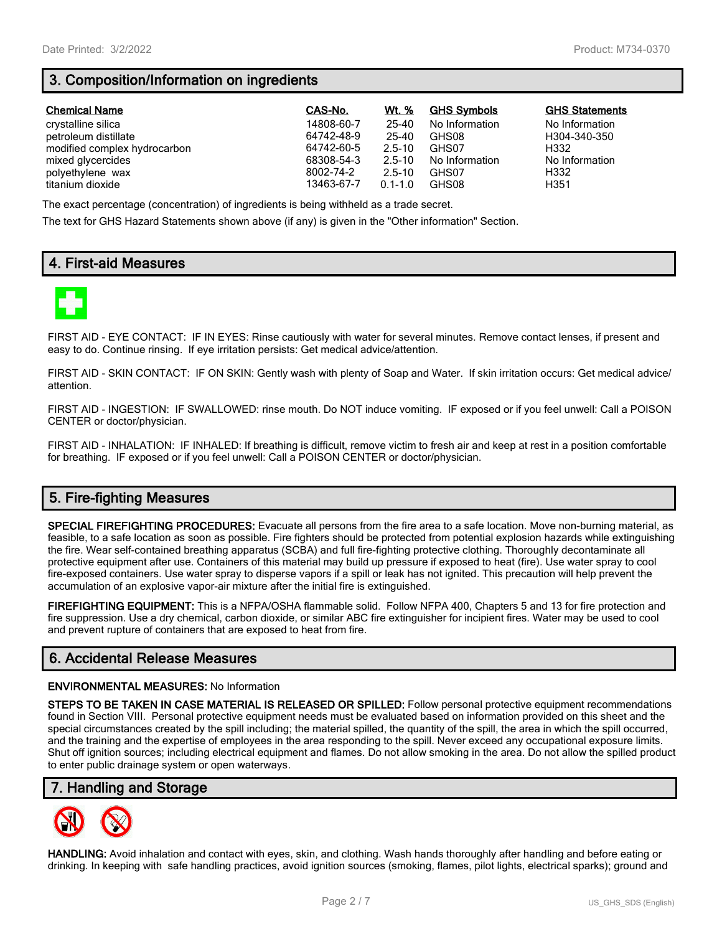# **3. Composition/Information on ingredients**

| <b>Chemical Name</b>         | CAS-No.    | Wt. %       | <b>GHS Symbols</b> | <b>GHS Statements</b> |
|------------------------------|------------|-------------|--------------------|-----------------------|
| crystalline silica           | 14808-60-7 | 25-40       | No Information     | No Information        |
| petroleum distillate         | 64742-48-9 | 25-40       | GHS08              | H304-340-350          |
| modified complex hydrocarbon | 64742-60-5 | $2.5 - 10$  | GHS07              | H332                  |
| mixed glycercides            | 68308-54-3 | $2.5 - 10$  | No Information     | No Information        |
| polyethylene wax             | 8002-74-2  | $2.5 - 10$  | GHS07              | H332                  |
| titanium dioxide             | 13463-67-7 | $0.1 - 1.0$ | GHS08              | H351                  |

The exact percentage (concentration) of ingredients is being withheld as a trade secret.

The text for GHS Hazard Statements shown above (if any) is given in the "Other information" Section.

# **4. First-aid Measures**



FIRST AID - EYE CONTACT: IF IN EYES: Rinse cautiously with water for several minutes. Remove contact lenses, if present and easy to do. Continue rinsing. If eye irritation persists: Get medical advice/attention.

FIRST AID - SKIN CONTACT: IF ON SKIN: Gently wash with plenty of Soap and Water. If skin irritation occurs: Get medical advice/ attention.

FIRST AID - INGESTION: IF SWALLOWED: rinse mouth. Do NOT induce vomiting. IF exposed or if you feel unwell: Call a POISON CENTER or doctor/physician.

FIRST AID - INHALATION: IF INHALED: If breathing is difficult, remove victim to fresh air and keep at rest in a position comfortable for breathing. IF exposed or if you feel unwell: Call a POISON CENTER or doctor/physician.

# **5. Fire-fighting Measures**

**SPECIAL FIREFIGHTING PROCEDURES:** Evacuate all persons from the fire area to a safe location. Move non-burning material, as feasible, to a safe location as soon as possible. Fire fighters should be protected from potential explosion hazards while extinguishing the fire. Wear self-contained breathing apparatus (SCBA) and full fire-fighting protective clothing. Thoroughly decontaminate all protective equipment after use. Containers of this material may build up pressure if exposed to heat (fire). Use water spray to cool fire-exposed containers. Use water spray to disperse vapors if a spill or leak has not ignited. This precaution will help prevent the accumulation of an explosive vapor-air mixture after the initial fire is extinguished.

**FIREFIGHTING EQUIPMENT:** This is a NFPA/OSHA flammable solid. Follow NFPA 400, Chapters 5 and 13 for fire protection and fire suppression. Use a dry chemical, carbon dioxide, or similar ABC fire extinguisher for incipient fires. Water may be used to cool and prevent rupture of containers that are exposed to heat from fire.

# **6. Accidental Release Measures**

#### **ENVIRONMENTAL MEASURES:** No Information

**STEPS TO BE TAKEN IN CASE MATERIAL IS RELEASED OR SPILLED:** Follow personal protective equipment recommendations found in Section VIII. Personal protective equipment needs must be evaluated based on information provided on this sheet and the special circumstances created by the spill including; the material spilled, the quantity of the spill, the area in which the spill occurred, and the training and the expertise of employees in the area responding to the spill. Never exceed any occupational exposure limits. Shut off ignition sources; including electrical equipment and flames. Do not allow smoking in the area. Do not allow the spilled product to enter public drainage system or open waterways.

## **7. Handling and Storage**



**HANDLING:** Avoid inhalation and contact with eyes, skin, and clothing. Wash hands thoroughly after handling and before eating or drinking. In keeping with safe handling practices, avoid ignition sources (smoking, flames, pilot lights, electrical sparks); ground and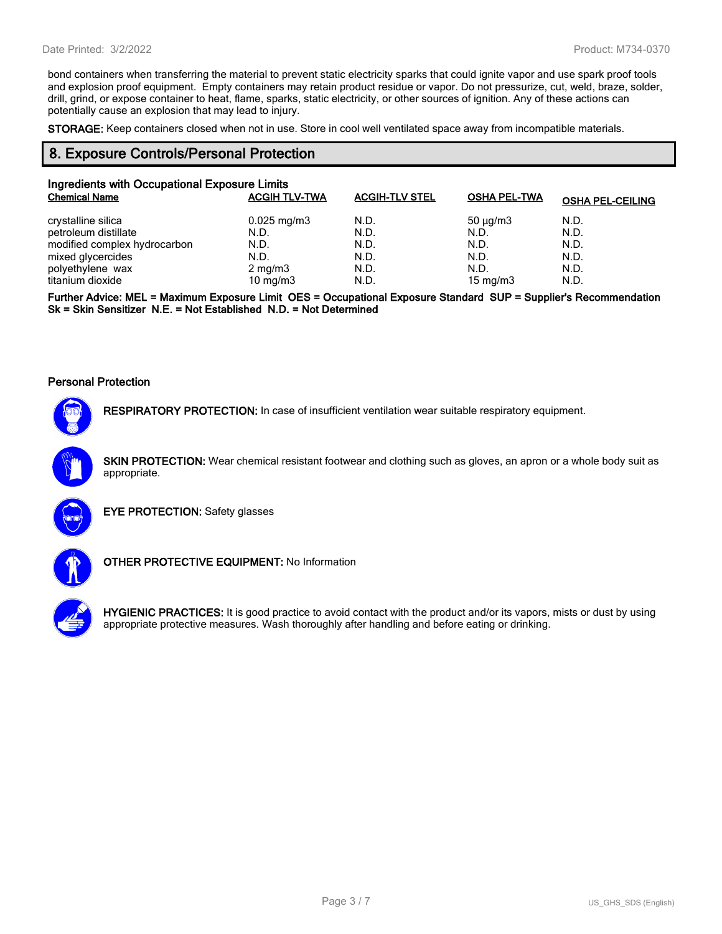bond containers when transferring the material to prevent static electricity sparks that could ignite vapor and use spark proof tools and explosion proof equipment. Empty containers may retain product residue or vapor. Do not pressurize, cut, weld, braze, solder, drill, grind, or expose container to heat, flame, sparks, static electricity, or other sources of ignition. Any of these actions can potentially cause an explosion that may lead to injury.

**STORAGE:** Keep containers closed when not in use. Store in cool well ventilated space away from incompatible materials.

### **8. Exposure Controls/Personal Protection**

| Ingredients with Occupational Exposure Limits |                         |                       |                     |                         |
|-----------------------------------------------|-------------------------|-----------------------|---------------------|-------------------------|
| <b>Chemical Name</b>                          | <b>ACGIH TLV-TWA</b>    | <b>ACGIH-TLV STEL</b> | <b>OSHA PEL-TWA</b> | <b>OSHA PEL-CEILING</b> |
| crystalline silica                            | $0.025 \,\mathrm{mg/m}$ | N.D.                  | $50 \mu q/m3$       | N.D.                    |
| petroleum distillate                          | N.D.                    | N.D.                  | N.D.                | N.D.                    |
| modified complex hydrocarbon                  | N.D.                    | N.D.                  | N.D.                | N.D.                    |
| mixed glycercides                             | N.D.                    | N.D.                  | N.D.                | N.D.                    |
| polyethylene wax                              | $2 \text{ mg/m}$ 3      | N.D.                  | N.D.                | N.D.                    |
| titanium dioxide                              | 10 mg/m $3$             | N.D.                  | 15 mg/m $3$         | N.D.                    |

**Further Advice: MEL = Maximum Exposure Limit OES = Occupational Exposure Standard SUP = Supplier's Recommendation Sk = Skin Sensitizer N.E. = Not Established N.D. = Not Determined**

#### **Personal Protection**



**RESPIRATORY PROTECTION:** In case of insufficient ventilation wear suitable respiratory equipment.

**SKIN PROTECTION:** Wear chemical resistant footwear and clothing such as gloves, an apron or a whole body suit as appropriate.



**EYE PROTECTION:** Safety glasses



**OTHER PROTECTIVE EQUIPMENT:** No Information



**HYGIENIC PRACTICES:** It is good practice to avoid contact with the product and/or its vapors, mists or dust by using appropriate protective measures. Wash thoroughly after handling and before eating or drinking.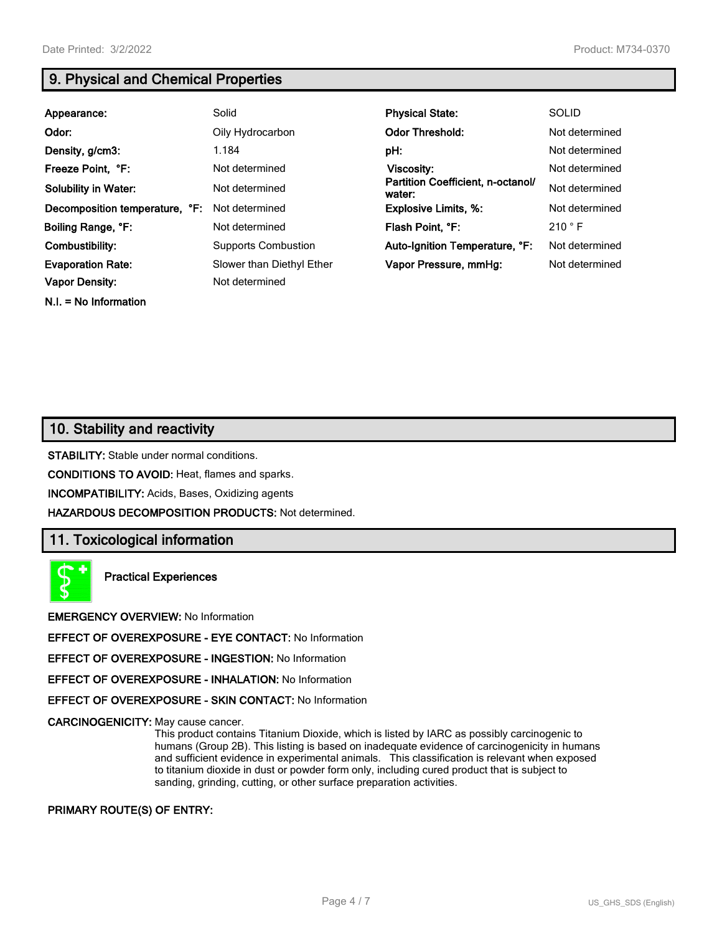**N.I. = No Information**

# **9. Physical and Chemical Properties**

| Appearance:                    | Solid                      | <b>Physical State:</b>                      | <b>SOLID</b>   |
|--------------------------------|----------------------------|---------------------------------------------|----------------|
| Odor:                          | Oily Hydrocarbon           | <b>Odor Threshold:</b>                      | Not determined |
| Density, g/cm3:                | 1.184                      | pH:                                         | Not determined |
| Freeze Point, °F:              | Not determined             | Viscosity:                                  | Not determined |
| <b>Solubility in Water:</b>    | Not determined             | Partition Coefficient, n-octanol/<br>water: | Not determined |
| Decomposition temperature, °F: | Not determined             | <b>Explosive Limits, %:</b>                 | Not determined |
| Boiling Range, °F:             | Not determined             | Flash Point, °F:                            | 210 °F         |
| Combustibility:                | <b>Supports Combustion</b> | Auto-Ignition Temperature, °F:              | Not determined |
| <b>Evaporation Rate:</b>       | Slower than Diethyl Ether  | Vapor Pressure, mmHq:                       | Not determined |
| <b>Vapor Density:</b>          | Not determined             |                                             |                |

# **10. Stability and reactivity**

**STABILITY:** Stable under normal conditions.

**CONDITIONS TO AVOID:** Heat, flames and sparks.

**INCOMPATIBILITY:** Acids, Bases, Oxidizing agents

**HAZARDOUS DECOMPOSITION PRODUCTS:** Not determined.

## **11. Toxicological information**

**Practical Experiences**

**EMERGENCY OVERVIEW:** No Information

**EFFECT OF OVEREXPOSURE - EYE CONTACT:** No Information

**EFFECT OF OVEREXPOSURE - INGESTION:** No Information

**EFFECT OF OVEREXPOSURE - INHALATION:** No Information

**EFFECT OF OVEREXPOSURE - SKIN CONTACT:** No Information

**CARCINOGENICITY:** May cause cancer.

This product contains Titanium Dioxide, which is listed by IARC as possibly carcinogenic to humans (Group 2B). This listing is based on inadequate evidence of carcinogenicity in humans and sufficient evidence in experimental animals. This classification is relevant when exposed to titanium dioxide in dust or powder form only, including cured product that is subject to sanding, grinding, cutting, or other surface preparation activities.

#### **PRIMARY ROUTE(S) OF ENTRY:**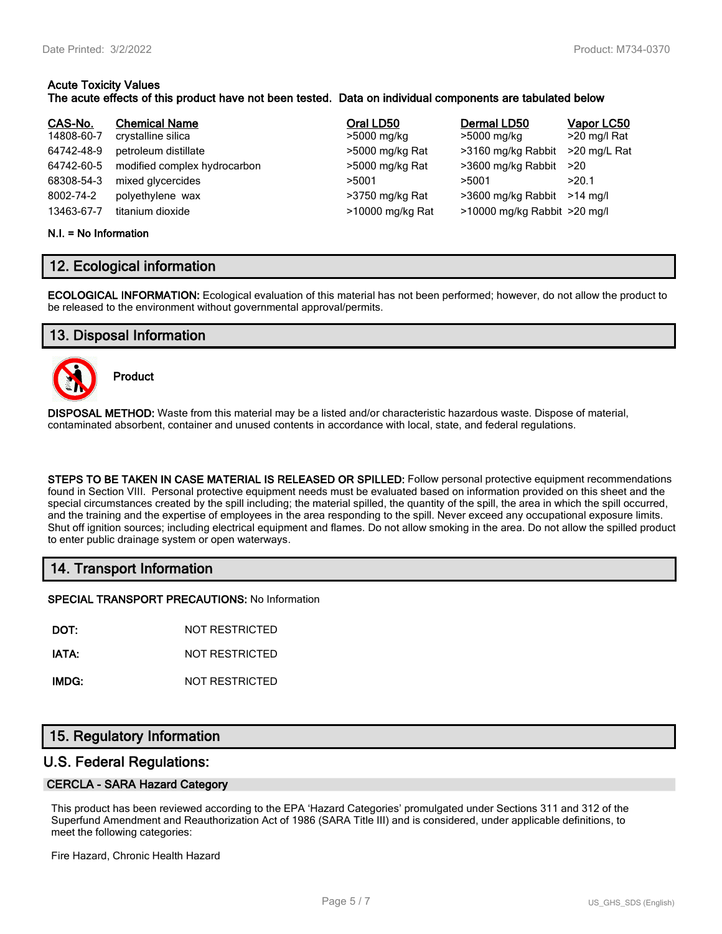#### **Acute Toxicity Values The acute effects of this product have not been tested. Data on individual components are tabulated below**

| CAS-No.    | <b>Chemical Name</b>         | Oral LD50        | Dermal LD50                      | Vapor LC50   |
|------------|------------------------------|------------------|----------------------------------|--------------|
| 14808-60-7 | crystalline silica           | >5000 mg/kg      | >5000 mg/kg                      | >20 mg/l Rat |
| 64742-48-9 | petroleum distillate         | >5000 mg/kg Rat  | >3160 mg/kg Rabbit               | >20 mg/L Rat |
| 64742-60-5 | modified complex hydrocarbon | >5000 mg/kg Rat  | >3600 mg/kg Rabbit               | >20          |
| 68308-54-3 | mixed glycercides            | >5001            | >5001                            | >20.1        |
| 8002-74-2  | polyethylene wax             | >3750 mg/kg Rat  | >3600 mg/kg Rabbit               | $>14$ ma/l   |
| 13463-67-7 | titanium dioxide             | >10000 mg/kg Rat | $>10000$ mg/kg Rabbit $>20$ mg/l |              |

#### **N.I. = No Information**

# **12. Ecological information**

**ECOLOGICAL INFORMATION:** Ecological evaluation of this material has not been performed; however, do not allow the product to be released to the environment without governmental approval/permits.

# **13. Disposal Information**



**Product**

**DISPOSAL METHOD:** Waste from this material may be a listed and/or characteristic hazardous waste. Dispose of material, contaminated absorbent, container and unused contents in accordance with local, state, and federal regulations.

**STEPS TO BE TAKEN IN CASE MATERIAL IS RELEASED OR SPILLED:** Follow personal protective equipment recommendations found in Section VIII. Personal protective equipment needs must be evaluated based on information provided on this sheet and the special circumstances created by the spill including; the material spilled, the quantity of the spill, the area in which the spill occurred, and the training and the expertise of employees in the area responding to the spill. Never exceed any occupational exposure limits. Shut off ignition sources; including electrical equipment and flames. Do not allow smoking in the area. Do not allow the spilled product to enter public drainage system or open waterways.

# **14. Transport Information**

**SPECIAL TRANSPORT PRECAUTIONS:** No Information

**DOT:** NOT RESTRICTED

**IATA:** NOT RESTRICTED

**IMDG:** NOT RESTRICTED

# **15. Regulatory Information**

## **U.S. Federal Regulations:**

#### **CERCLA - SARA Hazard Category**

This product has been reviewed according to the EPA 'Hazard Categories' promulgated under Sections 311 and 312 of the Superfund Amendment and Reauthorization Act of 1986 (SARA Title III) and is considered, under applicable definitions, to meet the following categories:

Fire Hazard, Chronic Health Hazard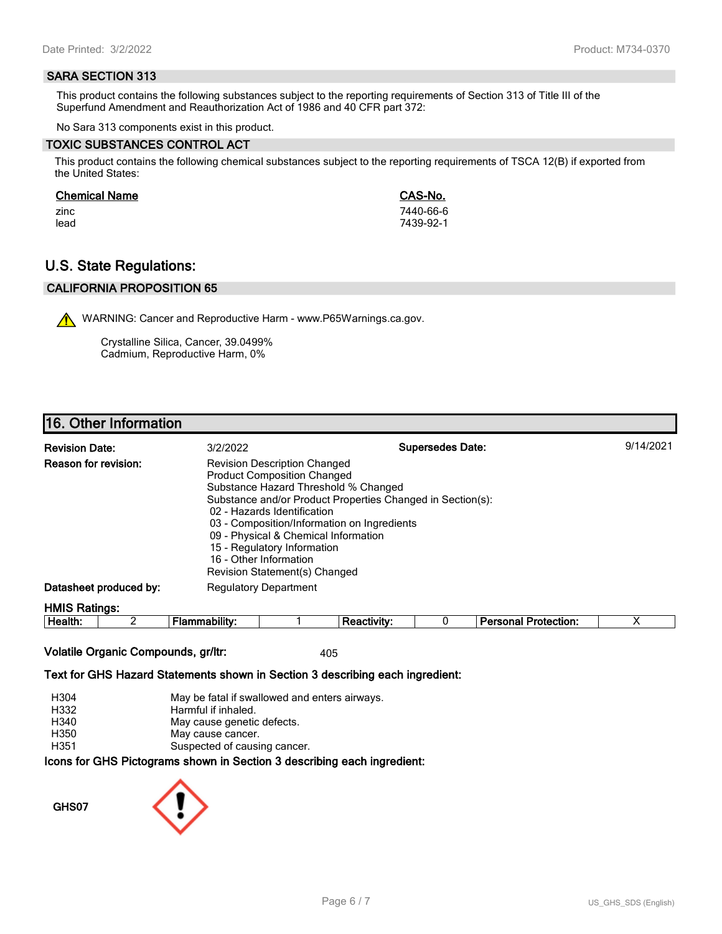#### **SARA SECTION 313**

This product contains the following substances subject to the reporting requirements of Section 313 of Title III of the Superfund Amendment and Reauthorization Act of 1986 and 40 CFR part 372:

No Sara 313 components exist in this product.

#### **TOXIC SUBSTANCES CONTROL ACT**

This product contains the following chemical substances subject to the reporting requirements of TSCA 12(B) if exported from the United States:

#### **Chemical Name CAS-No.**

zinc 7440-66-6 lead 7439-92-1

# **U.S. State Regulations:**

## **CALIFORNIA PROPOSITION 65**

WARNING: Cancer and Reproductive Harm - www.P65Warnings.ca.gov.

Crystalline Silica, Cancer, 39.0499% Cadmium, Reproductive Harm, 0%

# **16. Other Information**

| <b>Revision Date:</b>  | 3/2/2022                                                                                                                                                                                                                                                                                                                                                                                        | <b>Supersedes Date:</b> | 9/14/2021 |
|------------------------|-------------------------------------------------------------------------------------------------------------------------------------------------------------------------------------------------------------------------------------------------------------------------------------------------------------------------------------------------------------------------------------------------|-------------------------|-----------|
| Reason for revision:   | <b>Revision Description Changed</b><br><b>Product Composition Changed</b><br>Substance Hazard Threshold % Changed<br>Substance and/or Product Properties Changed in Section(s):<br>02 - Hazards Identification<br>03 - Composition/Information on Ingredients<br>09 - Physical & Chemical Information<br>15 - Regulatory Information<br>16 - Other Information<br>Revision Statement(s) Changed |                         |           |
| Datasheet produced by: | <b>Regulatory Department</b>                                                                                                                                                                                                                                                                                                                                                                    |                         |           |
| <b>HMIS Ratings:</b>   |                                                                                                                                                                                                                                                                                                                                                                                                 |                         |           |

| пt<br>--- | - |  |  | .<br>ою<br>чиог.<br>1 I C |  |
|-----------|---|--|--|---------------------------|--|
|           |   |  |  |                           |  |

#### Volatile Organic Compounds, gr/ltr: 405

#### **Text for GHS Hazard Statements shown in Section 3 describing each ingredient:**

| H304 | May be fatal if swallowed and enters airways.                   |
|------|-----------------------------------------------------------------|
| H332 | Harmful if inhaled.                                             |
| H340 | May cause genetic defects.                                      |
| H350 | May cause cancer.                                               |
| H351 | Suspected of causing cancer.                                    |
|      | cons for CHS Dictograms shown in Section 3 describing each ingr |

 $\mathsf{a}\mathsf{u}\mathsf{u}\mathsf{s}$  snown in Section 3 describing each ingredient<mark>:</mark>

**GHS07**